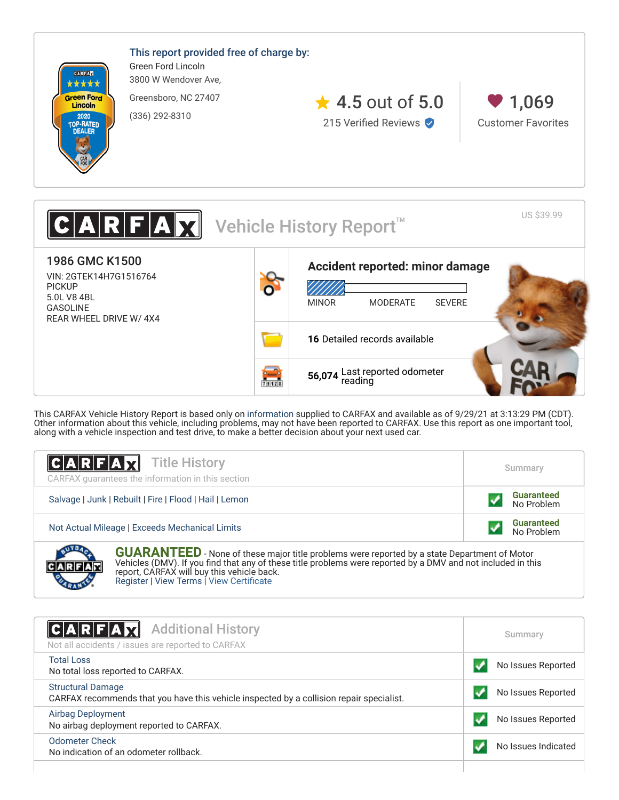

This CARFAX Vehicle History Report is based only on [information](http://www.carfax.com/company/vhr-data-sources) supplied to CARFAX and available as of 9/29/21 at 3:13:29 PM (CDT). Other information about this vehicle, including problems, may not have been reported to CARFAX. Use this report as one important tool, along with a vehicle inspection and test drive, to make a better decision about your next used car.

| <b>CARFAX</b> Title History<br>CARFAX guarantees the information in this section | Summary                         |
|----------------------------------------------------------------------------------|---------------------------------|
| Salvage   Junk   Rebuilt   Fire   Flood   Hail   Lemon                           | <b>Guaranteed</b><br>No Problem |
| Not Actual Mileage   Exceeds Mechanical Limits                                   | <b>Guaranteed</b><br>No Problem |
| <b>AVERAL</b>                                                                    |                                 |

**GUARANTEED** - None of these major title problems were reported by a state Department of Motor Vehicles (DMV). If you find that any of these title problems were reported by a DMV and not included in this report, CARFAX will buy this vehicle back. [Register](https://www.carfax.com/Service/bbg) | [View Terms](http://www.carfaxonline.com/legal/bbgTerms) | [View Certificate](https://www.carfaxonline.com/cfm/Display_Dealer_Report.cfm?partner=VAU_0&UID=C438430&vin=2GTEK14H7G1516764)

<span id="page-0-0"></span>

| $ C A R F A \chi $<br><b>Additional History</b><br>Not all accidents / issues are reported to CARFAX                 | Summary             |
|----------------------------------------------------------------------------------------------------------------------|---------------------|
| <b>Total Loss</b><br>No total loss reported to CARFAX.                                                               | No Issues Reported  |
| <b>Structural Damage</b><br>CARFAX recommends that you have this vehicle inspected by a collision repair specialist. | No Issues Reported  |
| <b>Airbag Deployment</b><br>No airbag deployment reported to CARFAX.                                                 | No Issues Reported  |
| <b>Odometer Check</b><br>No indication of an odometer rollback.                                                      | No Issues Indicated |
|                                                                                                                      |                     |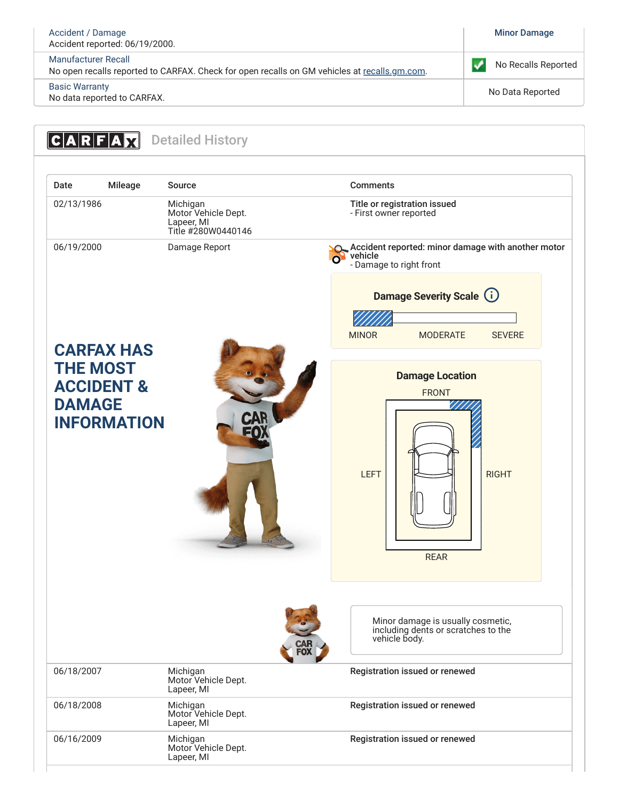#### [Accident / Damage](https://www.carfaxonline.com/cfm/defAccidentIndicator) [Minor Damage](#page-1-1) Accident reported: 06/19/2000. [Manufacturer Recall](https://www.carfaxonline.com/cfm/defManufacturerRecall) No Recalls Reported  $\checkmark$ No open recalls reported to CARFAX. Check for open recalls on GM vehicles at [recalls.gm.com](http://my.gm.com/recalls). [Basic Warranty](https://www.carfaxonline.com/cfm/defBasicWarranty) no data reported to CARFAX.<br>No data reported to CARFAX.

<span id="page-1-1"></span><span id="page-1-0"></span>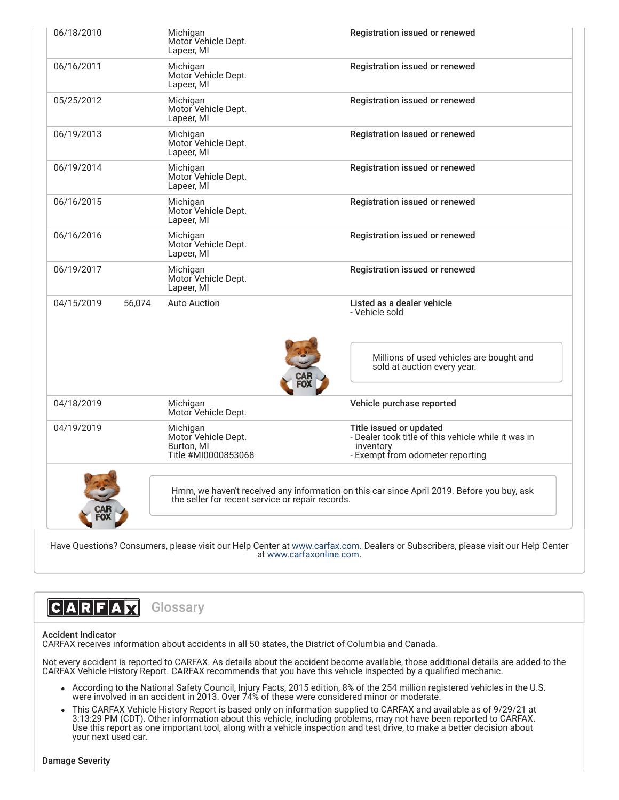| 06/18/2010           | Michigan<br>Motor Vehicle Dept.<br>Lapeer, MI                        | Registration issued or renewed                                                                                                  |
|----------------------|----------------------------------------------------------------------|---------------------------------------------------------------------------------------------------------------------------------|
| 06/16/2011           | Michigan<br>Motor Vehicle Dept.<br>Lapeer, MI                        | Registration issued or renewed                                                                                                  |
| 05/25/2012           | Michigan<br>Motor Vehicle Dept.<br>Lapeer, MI                        | Registration issued or renewed                                                                                                  |
| 06/19/2013           | Michigan<br>Motor Vehicle Dept.<br>Lapeer, MI                        | Registration issued or renewed                                                                                                  |
| 06/19/2014           | Michigan<br>Motor Vehicle Dept.<br>Lapeer, MI                        | Registration issued or renewed                                                                                                  |
| 06/16/2015           | Michigan<br>Motor Vehicle Dept.<br>Lapeer, MI                        | Registration issued or renewed                                                                                                  |
| 06/16/2016           | Michigan<br>Motor Vehicle Dept.<br>Lapeer, MI                        | Registration issued or renewed                                                                                                  |
| 06/19/2017           | Michigan<br>Motor Vehicle Dept.<br>Lapeer, MI                        | Registration issued or renewed                                                                                                  |
| 04/15/2019<br>56,074 | <b>Auto Auction</b>                                                  | Listed as a dealer vehicle<br>- Vehicle sold                                                                                    |
|                      |                                                                      | Millions of used vehicles are bought and<br>sold at auction every year.                                                         |
| 04/18/2019           | Michigan<br>Motor Vehicle Dept.                                      | Vehicle purchase reported                                                                                                       |
| 04/19/2019           | Michigan<br>Motor Vehicle Dept.<br>Burton, MI<br>Title #MI0000853068 | Title issued or updated<br>- Dealer took title of this vehicle while it was in<br>inventory<br>- Exempt from odometer reporting |
|                      | the seller for recent service or repair records.                     | Hmm, we haven't received any information on this car since April 2019. Before you buy, ask                                      |

Have Questions? Consumers, please visit our Help Center at [www.carfax.com](http://www.carfax.com/help). Dealers or Subscribers, please visit our Help Center at [www.carfaxonline.com.](http://www.carfaxonline.com/)

# CARFAX **Glossary**

## Accident Indicator

CARFAX receives information about accidents in all 50 states, the District of Columbia and Canada.

Not every accident is reported to CARFAX. As details about the accident become available, those additional details are added to the CARFAX Vehicle History Report. CARFAX recommends that you have this vehicle inspected by a qualified mechanic.

- According to the National Safety Council, Injury Facts, 2015 edition, 8% of the 254 million registered vehicles in the U.S. were involved in an accident in 2013. Over 74% of these were considered minor or moderate.
- This CARFAX Vehicle History Report is based only on information supplied to CARFAX and available as of 9/29/21 at 3:13:29 PM (CDT). Other information about this vehicle, including problems, may not have been reported to CARFAX. Use this report as one important tool, along with a vehicle inspection and test drive, to make a better decision about your next used car.